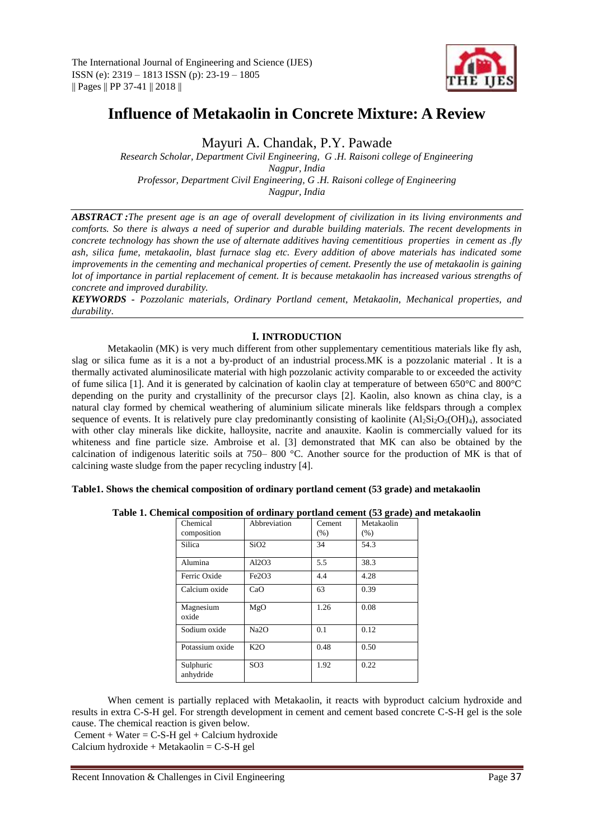

# **Influence of Metakaolin in Concrete Mixture: A Review**

Mayuri A. Chandak, P.Y. Pawade

*Research Scholar, Department Civil Engineering, G .H. Raisoni college of Engineering Nagpur, India Professor, Department Civil Engineering, G .H. Raisoni college of Engineering Nagpur, India*

*ABSTRACT :The present age is an age of overall development of civilization in its living environments and comforts. So there is always a need of superior and durable building materials. The recent developments in concrete technology has shown the use of alternate additives having cementitious properties in cement as .fly ash, silica fume, metakaolin, blast furnace slag etc. Every addition of above materials has indicated some improvements in the cementing and mechanical properties of cement. Presently the use of metakaolin is gaining lot of importance in partial replacement of cement. It is because metakaolin has increased various strengths of concrete and improved durability.*

*KEYWORDS - Pozzolanic materials, Ordinary Portland cement, Metakaolin, Mechanical properties, and durability*.

# **I. INTRODUCTION**

Metakaolin (MK) is very much different from other supplementary cementitious materials like fly ash, slag or silica fume as it is a not a by-product of an industrial process.MK is a pozzolanic material . It is a thermally activated aluminosilicate material with high pozzolanic activity comparable to or exceeded the activity of fume silica [1]. And it is generated by calcination of kaolin clay at temperature of between 650°C and 800°C depending on the purity and crystallinity of the precursor clays [2]. Kaolin, also known as china clay, is a natural clay formed by chemical weathering of aluminium silicate minerals like feldspars through a complex sequence of events. It is relatively pure clay predominantly consisting of kaolinite  $(A_1S_i_2O_5(OH)_4)$ , associated with other clay minerals like dickite, halloysite, nacrite and anauxite. Kaolin is commercially valued for its whiteness and fine particle size. Ambroise et al. [3] demonstrated that MK can also be obtained by the calcination of indigenous lateritic soils at 750– 800 °C. Another source for the production of MK is that of calcining waste sludge from the paper recycling industry [4].

## **Table1. Shows the chemical composition of ordinary portland cement (53 grade) and metakaolin**

| Chemical<br>composition | Abbreviation      | Cement<br>(% ) | Metakaolin<br>$(\% )$ |
|-------------------------|-------------------|----------------|-----------------------|
| Silica                  | SiO2              | 34             | 54.3                  |
| Alumina                 | Al2O3             | 5.5            | 38.3                  |
| Ferric Oxide            | Fe2O3             | 4.4            | 4.28                  |
| Calcium oxide           | CaO               | 63             | 0.39                  |
| Magnesium<br>oxide      | MgO               | 1.26           | 0.08                  |
| Sodium oxide            | Na <sub>2</sub> O | 0.1            | 0.12                  |
| Potassium oxide         | K2O               | 0.48           | 0.50                  |
| Sulphuric<br>anhydride  | SO <sub>3</sub>   | 1.92           | 0.22                  |

|  | Table 1. Chemical composition of ordinary portland cement (53 grade) and metakaolin |
|--|-------------------------------------------------------------------------------------|
|--|-------------------------------------------------------------------------------------|

When cement is partially replaced with Metakaolin, it reacts with byproduct calcium hydroxide and results in extra C-S-H gel. For strength development in cement and cement based concrete C-S-H gel is the sole cause. The chemical reaction is given below.

Cement + Water =  $C$ -S-H gel + Calcium hydroxide

 $Calcium hydroxide + Metakaolin = C-S-H gel$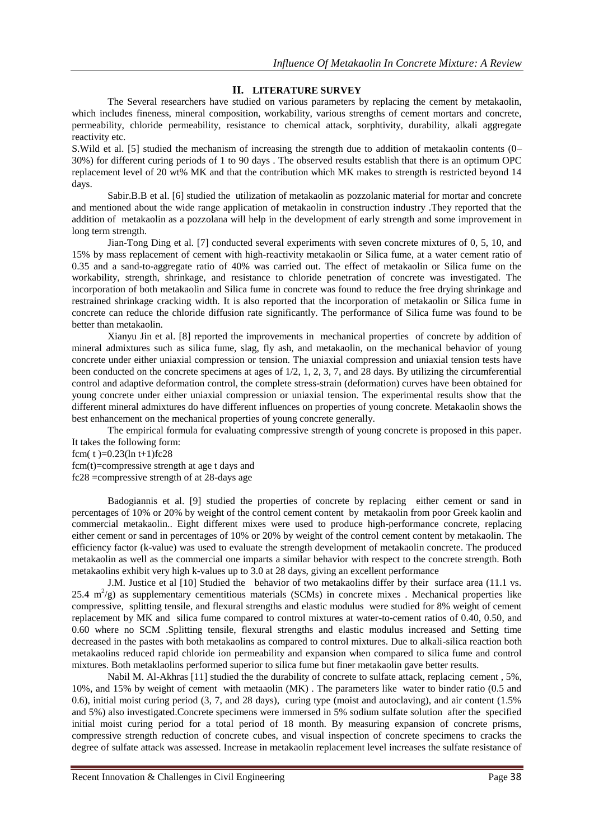### **II. LITERATURE SURVEY**

The Several researchers have studied on various parameters by replacing the cement by metakaolin, which includes fineness, mineral composition, workability, various strengths of cement mortars and concrete, permeability, chloride permeability, resistance to chemical attack, sorphtivity, durability, alkali aggregate reactivity etc.

S.Wild et al. [5] studied the mechanism of increasing the strength due to addition of metakaolin contents (0– 30%) for different curing periods of 1 to 90 days . The observed results establish that there is an optimum OPC replacement level of 20 wt% MK and that the contribution which MK makes to strength is restricted beyond 14 days.

Sabir.B.B et al. [6] studied the utilization of metakaolin as pozzolanic material for mortar and concrete and mentioned about the wide range application of metakaolin in construction industry .They reported that the addition of metakaolin as a pozzolana will help in the development of early strength and some improvement in long term strength.

Jian-Tong Ding et al. [7] conducted several experiments with seven concrete mixtures of 0, 5, 10, and 15% by mass replacement of cement with high-reactivity metakaolin or Silica fume, at a water cement ratio of 0.35 and a sand-to-aggregate ratio of 40% was carried out. The effect of metakaolin or Silica fume on the workability, strength, shrinkage, and resistance to chloride penetration of concrete was investigated. The incorporation of both metakaolin and Silica fume in concrete was found to reduce the free drying shrinkage and restrained shrinkage cracking width. It is also reported that the incorporation of metakaolin or Silica fume in concrete can reduce the chloride diffusion rate significantly. The performance of Silica fume was found to be better than metakaolin.

Xianyu Jin et al. [8] reported the improvements in mechanical properties of concrete by addition of mineral admixtures such as silica fume, slag, fly ash, and metakaolin, on the mechanical behavior of young concrete under either uniaxial compression or tension. The uniaxial compression and uniaxial tension tests have been conducted on the concrete specimens at ages of 1/2, 1, 2, 3, 7, and 28 days. By utilizing the circumferential control and adaptive deformation control, the complete stress-strain (deformation) curves have been obtained for young concrete under either uniaxial compression or uniaxial tension. The experimental results show that the different mineral admixtures do have different influences on properties of young concrete. Metakaolin shows the best enhancement on the mechanical properties of young concrete generally.

The empirical formula for evaluating compressive strength of young concrete is proposed in this paper. It takes the following form:

fcm( $t$ )=0.23(ln t+1)fc28

fcm(t)=compressive strength at age t days and fc28 =compressive strength of at 28-days age

Badogiannis et al. [9] studied the properties of concrete by replacing either cement or sand in percentages of 10% or 20% by weight of the control cement content by metakaolin from poor Greek kaolin and commercial metakaolin.. Eight different mixes were used to produce high-performance concrete, replacing either cement or sand in percentages of 10% or 20% by weight of the control cement content by metakaolin. The efficiency factor (k-value) was used to evaluate the strength development of metakaolin concrete. The produced metakaolin as well as the commercial one imparts a similar behavior with respect to the concrete strength. Both metakaolins exhibit very high k-values up to 3.0 at 28 days, giving an excellent performance

J.M. Justice et al [10] Studied the behavior of two metakaolins differ by their surface area (11.1 vs. 25.4  $m^2$ /g) as supplementary cementitious materials (SCMs) in concrete mixes . Mechanical properties like compressive, splitting tensile, and flexural strengths and elastic modulus were studied for 8% weight of cement replacement by MK and silica fume compared to control mixtures at water-to-cement ratios of 0.40, 0.50, and 0.60 where no SCM .Splitting tensile, flexural strengths and elastic modulus increased and Setting time decreased in the pastes with both metakaolins as compared to control mixtures. Due to alkali-silica reaction both metakaolins reduced rapid chloride ion permeability and expansion when compared to silica fume and control mixtures. Both metaklaolins performed superior to silica fume but finer metakaolin gave better results.

Nabil M. Al-Akhras [11] studied the the durability of concrete to sulfate attack, replacing cement , 5%, 10%, and 15% by weight of cement with metaaolin (MK) . The parameters like water to binder ratio (0.5 and 0.6), initial moist curing period (3, 7, and 28 days), curing type (moist and autoclaving), and air content (1.5% and 5%) also investigated.Concrete specimens were immersed in 5% sodium sulfate solution after the specified initial moist curing period for a total period of 18 month. By measuring expansion of concrete prisms, compressive strength reduction of concrete cubes, and visual inspection of concrete specimens to cracks the degree of sulfate attack was assessed. Increase in metakaolin replacement level increases the sulfate resistance of

Recent Innovation & Challenges in Civil Engineering Page 38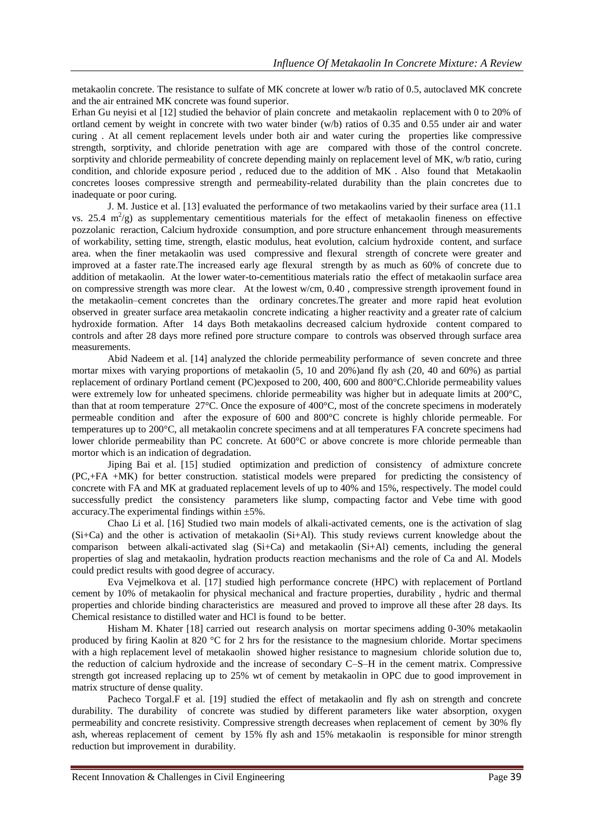metakaolin concrete. The resistance to sulfate of MK concrete at lower w/b ratio of 0.5, autoclaved MK concrete and the air entrained MK concrete was found superior.

Erhan Gu neyisi et al [12] studied the behavior of plain concrete and metakaolin replacement with 0 to 20% of ortland cement by weight in concrete with two water binder (w/b) ratios of 0.35 and 0.55 under air and water curing . At all cement replacement levels under both air and water curing the properties like compressive strength, sorptivity, and chloride penetration with age are compared with those of the control concrete. sorptivity and chloride permeability of concrete depending mainly on replacement level of MK, w/b ratio, curing condition, and chloride exposure period , reduced due to the addition of MK . Also found that Metakaolin concretes looses compressive strength and permeability-related durability than the plain concretes due to inadequate or poor curing.

J. M. Justice et al. [13] evaluated the performance of two metakaolins varied by their surface area (11.1 vs. 25.4  $\text{m}^2/\text{g}$ ) as supplementary cementitious materials for the effect of metakaolin fineness on effective pozzolanic reraction, Calcium hydroxide consumption, and pore structure enhancement through measurements of workability, setting time, strength, elastic modulus, heat evolution, calcium hydroxide content, and surface area. when the finer metakaolin was used compressive and flexural strength of concrete were greater and improved at a faster rate.The increased early age flexural strength by as much as 60% of concrete due to addition of metakaolin. At the lower water-to-cementitious materials ratio the effect of metakaolin surface area on compressive strength was more clear. At the lowest w/cm, 0.40 , compressive strength iprovement found in the metakaolin–cement concretes than the ordinary concretes.The greater and more rapid heat evolution observed in greater surface area metakaolin concrete indicating a higher reactivity and a greater rate of calcium hydroxide formation. After 14 days Both metakaolins decreased calcium hydroxide content compared to controls and after 28 days more refined pore structure compare to controls was observed through surface area measurements.

Abid Nadeem et al. [14] analyzed the chloride permeability performance of seven concrete and three mortar mixes with varying proportions of metakaolin (5, 10 and 20%)and fly ash (20, 40 and 60%) as partial replacement of ordinary Portland cement (PC)exposed to 200, 400, 600 and 800°C.Chloride permeability values were extremely low for unheated specimens. chloride permeability was higher but in adequate limits at 200°C, than that at room temperature 27°C. Once the exposure of 400°C, most of the concrete specimens in moderately permeable condition and after the exposure of 600 and 800°C concrete is highly chloride permeable. For temperatures up to 200°C, all metakaolin concrete specimens and at all temperatures FA concrete specimens had lower chloride permeability than PC concrete. At 600°C or above concrete is more chloride permeable than mortor which is an indication of degradation.

Jiping Bai et al. [15] studied optimization and prediction of consistency of admixture concrete (PC,+FA +MK) for better construction. statistical models were prepared for predicting the consistency of concrete with FA and MK at graduated replacement levels of up to 40% and 15%, respectively. The model could successfully predict the consistency parameters like slump, compacting factor and Vebe time with good accuracy.The experimental findings within ±5%.

Chao Li et al. [16] Studied two main models of alkali-activated cements, one is the activation of slag (Si+Ca) and the other is activation of metakaolin (Si+Al). This study reviews current knowledge about the comparison between alkali-activated slag (Si+Ca) and metakaolin (Si+Al) cements, including the general properties of slag and metakaolin, hydration products reaction mechanisms and the role of Ca and Al. Models could predict results with good degree of accuracy.

Eva Vejmelkova et al. [17] studied high performance concrete (HPC) with replacement of Portland cement by 10% of metakaolin for physical mechanical and fracture properties, durability , hydric and thermal properties and chloride binding characteristics are measured and proved to improve all these after 28 days. Its Chemical resistance to distilled water and HCl is found to be better.

Hisham M. Khater [18] carried out research analysis on mortar specimens adding 0-30% metakaolin produced by firing Kaolin at 820 °C for 2 hrs for the resistance to the magnesium chloride. Mortar specimens with a high replacement level of metakaolin showed higher resistance to magnesium chloride solution due to, the reduction of calcium hydroxide and the increase of secondary C–S–H in the cement matrix. Compressive strength got increased replacing up to 25% wt of cement by metakaolin in OPC due to good improvement in matrix structure of dense quality.

Pacheco Torgal.F et al. [19] studied the effect of metakaolin and fly ash on strength and concrete durability. The durability of concrete was studied by different parameters like water absorption, oxygen permeability and concrete resistivity. Compressive strength decreases when replacement of cement by 30% fly ash, whereas replacement of cement by 15% fly ash and 15% metakaolin is responsible for minor strength reduction but improvement in durability.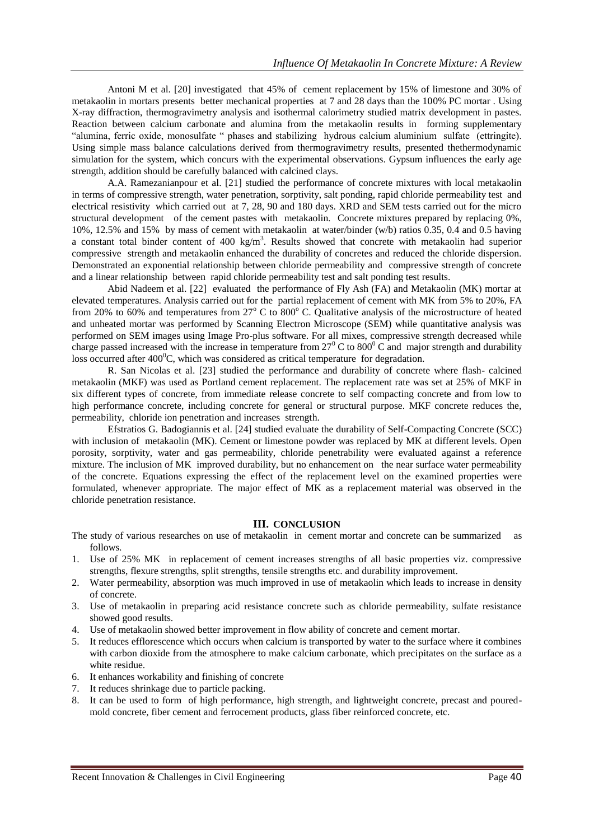Antoni M et al. [20] investigated that 45% of cement replacement by 15% of limestone and 30% of metakaolin in mortars presents better mechanical properties at 7 and 28 days than the 100% PC mortar . Using X-ray diffraction, thermogravimetry analysis and isothermal calorimetry studied matrix development in pastes. Reaction between calcium carbonate and alumina from the metakaolin results in forming supplementary "alumina, ferric oxide, monosulfate " phases and stabilizing hydrous calcium aluminium sulfate (ettringite). Using simple mass balance calculations derived from thermogravimetry results, presented thethermodynamic simulation for the system, which concurs with the experimental observations. Gypsum influences the early age strength, addition should be carefully balanced with calcined clays.

A.A. Ramezanianpour et al. [21] studied the performance of concrete mixtures with local metakaolin in terms of compressive strength, water penetration, sorptivity, salt ponding, rapid chloride permeability test and electrical resistivity which carried out at 7, 28, 90 and 180 days. XRD and SEM tests carried out for the micro structural development of the cement pastes with metakaolin. Concrete mixtures prepared by replacing 0%, 10%, 12.5% and 15% by mass of cement with metakaolin at water/binder (w/b) ratios 0.35, 0.4 and 0.5 having a constant total binder content of  $400 \text{ kg/m}^3$ . Results showed that concrete with metakaolin had superior compressive strength and metakaolin enhanced the durability of concretes and reduced the chloride dispersion. Demonstrated an exponential relationship between chloride permeability and compressive strength of concrete and a linear relationship between rapid chloride permeability test and salt ponding test results.

Abid Nadeem et al. [22] evaluated the performance of Fly Ash (FA) and Metakaolin (MK) mortar at elevated temperatures. Analysis carried out for the partial replacement of cement with MK from 5% to 20%, FA from 20% to 60% and temperatures from  $27^{\circ}$  C to 800 $^{\circ}$  C. Qualitative analysis of the microstructure of heated and unheated mortar was performed by Scanning Electron Microscope (SEM) while quantitative analysis was performed on SEM images using Image Pro-plus software. For all mixes, compressive strength decreased while charge passed increased with the increase in temperature from  $27^{\circ}$  C to  $800^{\circ}$  C and major strength and durability loss occurred after  $400^{\circ}$ C, which was considered as critical temperature for degradation.

R. San Nicolas et al. [23] studied the performance and durability of concrete where flash- calcined metakaolin (MKF) was used as Portland cement replacement. The replacement rate was set at 25% of MKF in six different types of concrete, from immediate release concrete to self compacting concrete and from low to high performance concrete, including concrete for general or structural purpose. MKF concrete reduces the, permeability, chloride ion penetration and increases strength.

Efstratios G. Badogiannis et al. [24] studied evaluate the durability of Self-Compacting Concrete (SCC) with inclusion of metakaolin (MK). Cement or limestone powder was replaced by MK at different levels. Open porosity, sorptivity, water and gas permeability, chloride penetrability were evaluated against a reference mixture. The inclusion of MK improved durability, but no enhancement on the near surface water permeability of the concrete. Equations expressing the effect of the replacement level on the examined properties were formulated, whenever appropriate. The major effect of MK as a replacement material was observed in the chloride penetration resistance.

#### **III. CONCLUSION**

- The study of various researches on use of metakaolin in cement mortar and concrete can be summarized as follows.
- 1. Use of 25% MK in replacement of cement increases strengths of all basic properties viz. compressive strengths, flexure strengths, split strengths, tensile strengths etc. and durability improvement.
- 2. Water permeability, absorption was much improved in use of metakaolin which leads to increase in density of concrete.
- 3. Use of metakaolin in preparing acid resistance concrete such as chloride permeability, sulfate resistance showed good results.
- 4. Use of metakaolin showed better improvement in flow ability of concrete and cement mortar.
- 5. It reduces efflorescence which occurs when calcium is transported by water to the surface where it combines with carbon dioxide from the atmosphere to make calcium carbonate, which precipitates on the surface as a white residue.
- 6. It enhances workability and finishing of concrete
- 7. It reduces shrinkage due to particle packing.
- 8. It can be used to form of high performance, high strength, and lightweight concrete, precast and pouredmold concrete, fiber cement and ferrocement products, glass fiber reinforced concrete, etc.